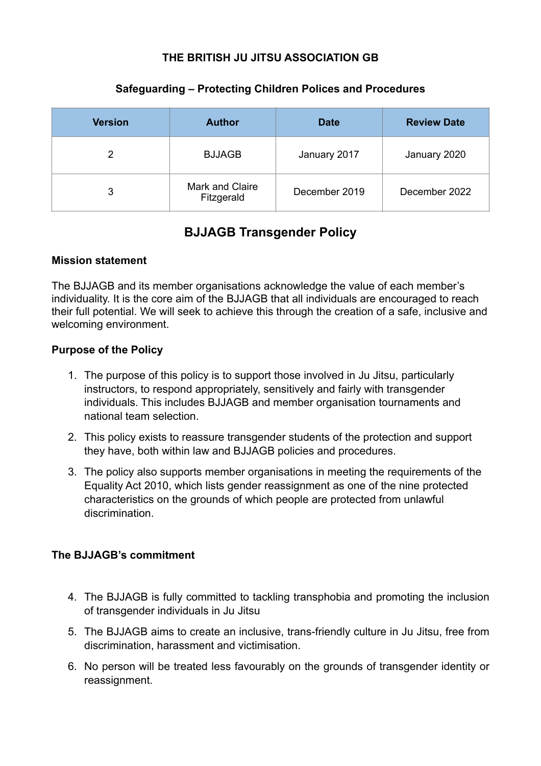# **THE BRITISH JU JITSU ASSOCIATION GB**

| <b>Version</b> | <b>Author</b>                 | <b>Date</b>   | <b>Review Date</b> |
|----------------|-------------------------------|---------------|--------------------|
| 2              | <b>BJJAGB</b>                 | January 2017  | January 2020       |
| 3              | Mark and Claire<br>Fitzgerald | December 2019 | December 2022      |

#### **Safeguarding – Protecting Children Polices and Procedures**

# **BJJAGB Transgender Policy**

#### **Mission statement**

The BJJAGB and its member organisations acknowledge the value of each member's individuality. It is the core aim of the BJJAGB that all individuals are encouraged to reach their full potential. We will seek to achieve this through the creation of a safe, inclusive and welcoming environment.

## **Purpose of the Policy**

- 1. The purpose of this policy is to support those involved in Ju Jitsu, particularly instructors, to respond appropriately, sensitively and fairly with transgender individuals. This includes BJJAGB and member organisation tournaments and national team selection.
- 2. This policy exists to reassure transgender students of the protection and support they have, both within law and BJJAGB policies and procedures.
- 3. The policy also supports member organisations in meeting the requirements of the Equality Act 2010, which lists gender reassignment as one of the nine protected characteristics on the grounds of which people are protected from unlawful discrimination.

## **The BJJAGB's commitment**

- 4. The BJJAGB is fully committed to tackling transphobia and promoting the inclusion of transgender individuals in Ju Jitsu
- 5. The BJJAGB aims to create an inclusive, trans-friendly culture in Ju Jitsu, free from discrimination, harassment and victimisation.
- 6. No person will be treated less favourably on the grounds of transgender identity or reassignment.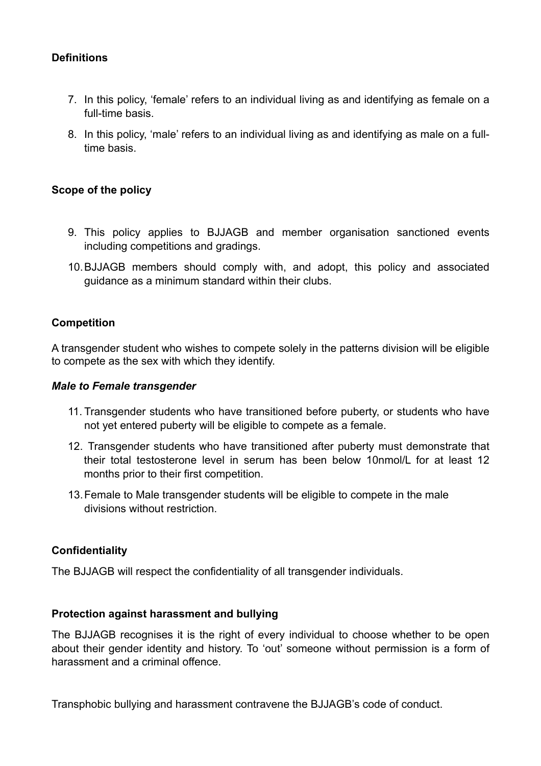## **Definitions**

- 7. In this policy, 'female' refers to an individual living as and identifying as female on a full-time basis.
- 8. In this policy, 'male' refers to an individual living as and identifying as male on a fulltime basis.

## **Scope of the policy**

- 9. This policy applies to BJJAGB and member organisation sanctioned events including competitions and gradings.
- 10.BJJAGB members should comply with, and adopt, this policy and associated guidance as a minimum standard within their clubs.

## **Competition**

A transgender student who wishes to compete solely in the patterns division will be eligible to compete as the sex with which they identify.

#### *Male to Female transgender*

- 11. Transgender students who have transitioned before puberty, or students who have not yet entered puberty will be eligible to compete as a female.
- 12. Transgender students who have transitioned after puberty must demonstrate that their total testosterone level in serum has been below 10nmol/L for at least 12 months prior to their first competition.
- 13.Female to Male transgender students will be eligible to compete in the male divisions without restriction.

## **Confidentiality**

The BJJAGB will respect the confidentiality of all transgender individuals.

#### **Protection against harassment and bullying**

The BJJAGB recognises it is the right of every individual to choose whether to be open about their gender identity and history. To 'out' someone without permission is a form of harassment and a criminal offence.

Transphobic bullying and harassment contravene the BJJAGB's code of conduct.